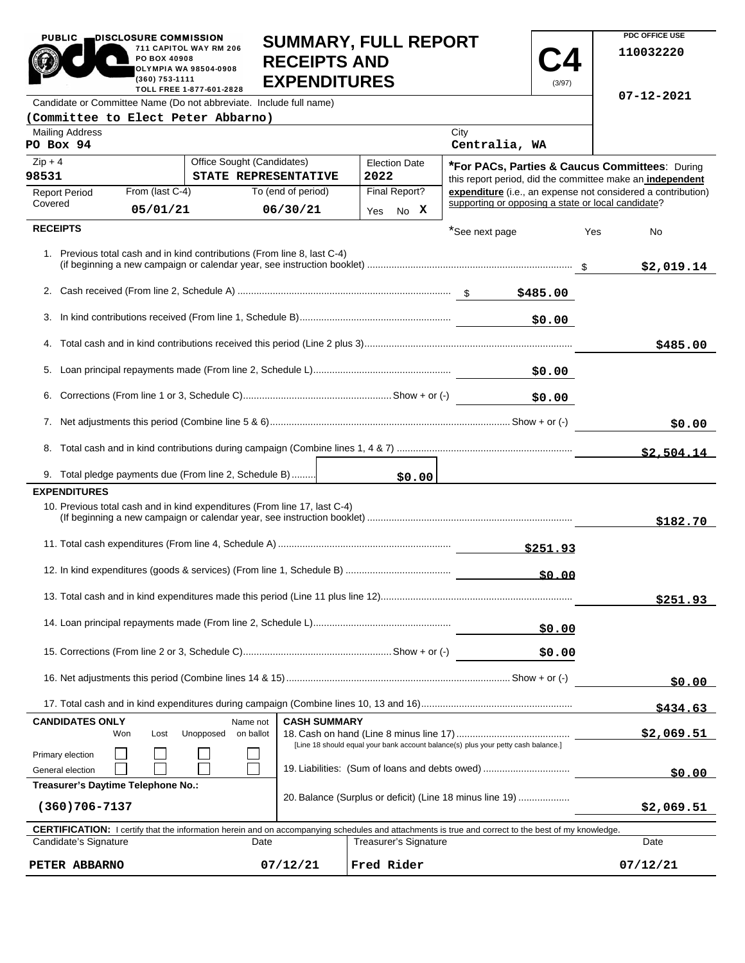|                                                                               | 711 CAPITOL WAY RM 206<br>PO BOX 40908<br><b>OLYMPIA WA 98504-0908</b><br>(360) 753-1111<br>TOLL FREE 1-877-601-2828 |                                                                           | <b>RECEIPTS AND</b><br><b>EXPENDITURES</b> |                                                                                                                                                            |                | (3/97)       | 110032220                                                                                                          |
|-------------------------------------------------------------------------------|----------------------------------------------------------------------------------------------------------------------|---------------------------------------------------------------------------|--------------------------------------------|------------------------------------------------------------------------------------------------------------------------------------------------------------|----------------|--------------|--------------------------------------------------------------------------------------------------------------------|
|                                                                               |                                                                                                                      | Candidate or Committee Name (Do not abbreviate. Include full name)        |                                            |                                                                                                                                                            |                |              | $07 - 12 - 2021$                                                                                                   |
| (Committee to Elect Peter Abbarno)                                            |                                                                                                                      |                                                                           |                                            |                                                                                                                                                            |                |              |                                                                                                                    |
| <b>Mailing Address</b>                                                        |                                                                                                                      |                                                                           |                                            |                                                                                                                                                            | City           |              |                                                                                                                    |
| PO Box 94                                                                     |                                                                                                                      |                                                                           |                                            |                                                                                                                                                            | Centralia, WA  |              |                                                                                                                    |
| $Zip + 4$                                                                     |                                                                                                                      | Office Sought (Candidates)                                                |                                            | <b>Election Date</b>                                                                                                                                       |                |              | *For PACs, Parties & Caucus Committees: During                                                                     |
| 98531                                                                         |                                                                                                                      | STATE REPRESENTATIVE                                                      |                                            | 2022                                                                                                                                                       |                |              | this report period, did the committee make an independent                                                          |
| <b>Report Period</b><br>Covered                                               | From (last C-4)                                                                                                      |                                                                           | To (end of period)                         | Final Report?                                                                                                                                              |                |              | expenditure (i.e., an expense not considered a contribution)<br>supporting or opposing a state or local candidate? |
|                                                                               | 05/01/21                                                                                                             |                                                                           | 06/30/21                                   | No X<br>Yes                                                                                                                                                |                |              |                                                                                                                    |
| <b>RECEIPTS</b>                                                               |                                                                                                                      |                                                                           |                                            |                                                                                                                                                            | *See next page |              | Yes<br>No                                                                                                          |
|                                                                               |                                                                                                                      | 1. Previous total cash and in kind contributions (From line 8, last C-4)  |                                            |                                                                                                                                                            |                |              | \$2,019.14                                                                                                         |
|                                                                               |                                                                                                                      |                                                                           |                                            |                                                                                                                                                            |                |              |                                                                                                                    |
| 3.                                                                            |                                                                                                                      |                                                                           |                                            |                                                                                                                                                            |                | \$0.00       |                                                                                                                    |
|                                                                               |                                                                                                                      |                                                                           |                                            |                                                                                                                                                            |                |              | \$485.00                                                                                                           |
|                                                                               |                                                                                                                      |                                                                           |                                            |                                                                                                                                                            |                |              |                                                                                                                    |
| 6.                                                                            |                                                                                                                      |                                                                           |                                            |                                                                                                                                                            |                | \$0.00       |                                                                                                                    |
|                                                                               |                                                                                                                      |                                                                           |                                            |                                                                                                                                                            |                |              | \$0.00                                                                                                             |
|                                                                               |                                                                                                                      |                                                                           |                                            |                                                                                                                                                            |                |              |                                                                                                                    |
|                                                                               |                                                                                                                      | 9. Total pledge payments due (From line 2, Schedule B)                    |                                            |                                                                                                                                                            |                |              | \$2,504.14                                                                                                         |
| <b>EXPENDITURES</b>                                                           |                                                                                                                      |                                                                           |                                            | \$0.00                                                                                                                                                     |                |              |                                                                                                                    |
|                                                                               |                                                                                                                      | 10. Previous total cash and in kind expenditures (From line 17, last C-4) |                                            |                                                                                                                                                            |                |              | \$182.70                                                                                                           |
|                                                                               |                                                                                                                      |                                                                           |                                            |                                                                                                                                                            |                | \$251.93     |                                                                                                                    |
|                                                                               |                                                                                                                      |                                                                           |                                            |                                                                                                                                                            |                | <u>50.00</u> |                                                                                                                    |
|                                                                               |                                                                                                                      |                                                                           |                                            |                                                                                                                                                            |                |              | \$251.93                                                                                                           |
|                                                                               |                                                                                                                      |                                                                           |                                            |                                                                                                                                                            |                | \$0.00       |                                                                                                                    |
| \$0.00                                                                        |                                                                                                                      |                                                                           |                                            |                                                                                                                                                            |                |              |                                                                                                                    |
|                                                                               |                                                                                                                      |                                                                           |                                            |                                                                                                                                                            |                |              | \$0.00                                                                                                             |
|                                                                               |                                                                                                                      |                                                                           |                                            |                                                                                                                                                            |                |              |                                                                                                                    |
| <b>CANDIDATES ONLY</b>                                                        |                                                                                                                      | Name not                                                                  | <b>CASH SUMMARY</b>                        |                                                                                                                                                            |                |              | \$434.63                                                                                                           |
| Unopposed<br>on ballot<br>Won<br>Lost                                         |                                                                                                                      |                                                                           |                                            |                                                                                                                                                            |                |              | \$2,069.51                                                                                                         |
| Primary election                                                              |                                                                                                                      |                                                                           |                                            | [Line 18 should equal your bank account balance(s) plus your petty cash balance.]                                                                          |                |              |                                                                                                                    |
| General election                                                              | 19. Liabilities: (Sum of loans and debts owed)                                                                       |                                                                           |                                            |                                                                                                                                                            |                |              | \$0.00                                                                                                             |
| Treasurer's Daytime Telephone No.:                                            |                                                                                                                      |                                                                           |                                            |                                                                                                                                                            |                |              |                                                                                                                    |
| 20. Balance (Surplus or deficit) (Line 18 minus line 19)<br>$(360)706 - 7137$ |                                                                                                                      |                                                                           |                                            |                                                                                                                                                            |                |              | \$2,069.51                                                                                                         |
|                                                                               |                                                                                                                      |                                                                           |                                            | <b>CERTIFICATION:</b> I certify that the information herein and on accompanying schedules and attachments is true and correct to the best of my knowledge. |                |              |                                                                                                                    |
| Candidate's Signature                                                         |                                                                                                                      | Date                                                                      |                                            | <b>Treasurer's Signature</b>                                                                                                                               |                |              | Date                                                                                                               |
| PETER ABBARNO                                                                 |                                                                                                                      |                                                                           | 07/12/21                                   | Fred Rider                                                                                                                                                 |                |              | 07/12/21                                                                                                           |

**SUMMARY, FULL REPORT** 

**C4**

 $\overline{\phantom{a}}$ 

**PDC OFFICE USE** 

PUBLIC **DISCLOSURE COMMISSION** 

 $\blacksquare$ 

×

**711 CAPITOL WAY RM 206**